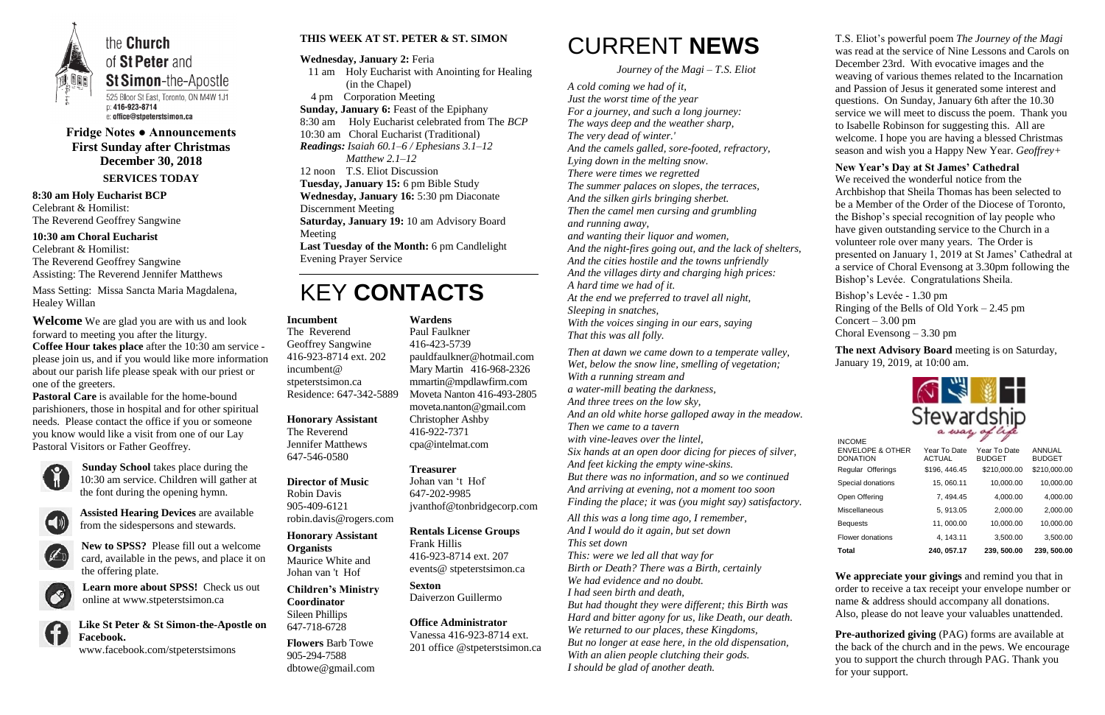

**Fridge Notes ● Announcements First Sunday after Christmas December 30, 2018 SERVICES TODAY**

**8:30 am Holy Eucharist BCP** Celebrant & Homilist: The Reverend Geoffrey Sangwine

**10:30 am Choral Eucharist** Celebrant & Homilist: The Reverend Geoffrey Sangwine Assisting: The Reverend Jennifer Matthews

Mass Setting: Missa Sancta Maria Magdalena, Healey Willan

**Welcome** We are glad you are with us and look forward to meeting you after the liturgy.

**Coffee Hour takes place** after the 10:30 am service please join us, and if you would like more information about our parish life please speak with our priest or one of the greeters.

**Pastoral Care** is available for the home-bound parishioners, those in hospital and for other spiritual needs. Please contact the office if you or someone you know would like a visit from one of our Lay Pastoral Visitors or Father Geoffrey.



**Sunday School** takes place during the 10:30 am service. Children will gather at the font during the opening hymn.



**Assisted Hearing Devices** are available from the sidespersons and stewards.



**New to SPSS?** Please fill out a welcome card, available in the pews, and place it on the offering plate.



**Learn more about SPSS!** Check us out online at www.stpeterstsimon.ca



**Like St Peter & St Simon-the-Apostle on Facebook.** 

www.facebook.com/stpeterstsimons

#### **THIS WEEK AT ST. PETER & ST. SIMON**

**Wednesday, January 2:** Feria 11 am Holy Eucharist with Anointing for Healing

- (in the Chapel) 4 pm Corporation Meeting
- **Sunday, January 6:** Feast of the Epiphany
- 8:30 am Holy Eucharist celebrated from The *BCP*

10:30 am Choral Eucharist (Traditional)

*Readings: Isaiah 60.1–6 / Ephesians 3.1–12 Matthew 2.1–12*

12 noon T.S. Eliot Discussion

**Tuesday, January 15:** 6 pm Bible Study

**Wednesday, January 16:** 5:30 pm Diaconate Discernment Meeting

**Saturday, January 19:** 10 am Advisory Board Meeting

**Last Tuesday of the Month:** 6 pm Candlelight Evening Prayer Service

### KEY **CONTACTS**

### CURRENT **NEWS**

*Journey of the Magi – T.S. Eliot*

*A cold coming we had of it, Just the worst time of the year For a journey, and such a long journey: The ways deep and the weather sharp, The very dead of winter.' And the camels galled, sore-footed, refractory, Lying down in the melting snow. There were times we regretted The summer palaces on slopes, the terraces, And the silken girls bringing sherbet. Then the camel men cursing and grumbling and running away, and wanting their liquor and women, And the night-fires going out, and the lack of shelters, And the cities hostile and the towns unfriendly And the villages dirty and charging high prices: A hard time we had of it. At the end we preferred to travel all night, Sleeping in snatches, With the voices singing in our ears, saying That this was all folly. Then at dawn we came down to a temperate valley, Wet, below the snow line, smelling of vegetation;*

> **Pre-authorized giving (PAG) forms are available at** the back of the church and in the pews. We encourage you to support the church through PAG. Thank you for your support.

*With a running stream and a water-mill beating the darkness,*

*And three trees on the low sky,*

*And an old white horse galloped away in the meadow. Then we came to a tavern* 

*with vine-leaves over the lintel,*

*Six hands at an open door dicing for pieces of silver, And feet kicking the empty wine-skins. But there was no information, and so we continued And arriving at evening, not a moment too soon Finding the place; it was (you might say) satisfactory.*

*All this was a long time ago, I remember, And I would do it again, but set down This set down This: were we led all that way for Birth or Death? There was a Birth, certainly We had evidence and no doubt. I had seen birth and death, But had thought they were different; this Birth was Hard and bitter agony for us, like Death, our death. We returned to our places, these Kingdoms, But no longer at ease here, in the old dispensation, With an alien people clutching their gods. I should be glad of another death.*

T.S. Eliot's powerful poem *The Journey of the Magi*  was read at the service of Nine Lessons and Carols on December 23rd. With evocative images and the weaving of various themes related to the Incarnation and Passion of Jesus it generated some interest and questions. On Sunday, January 6th after the 10.30 service we will meet to discuss the poem. Thank you to Isabelle Robinson for suggesting this. All are welcome. I hope you are having a blessed Christmas season and wish you a Happy New Year. *Geoffrey+*

#### **New Year's Day at St James' Cathedral**

We received the wonderful notice from the Archbishop that Sheila Thomas has been selected to be a Member of the Order of the Diocese of Toronto, the Bishop's special recognition of lay people who have given outstanding service to the Church in a volunteer role over many years. The Order is presented on January 1, 2019 at St James' Cathedral at a service of Choral Evensong at 3.30pm following the Bishop's Levée. Congratulations Sheila.

Bishop's Levée - 1.30 pm Ringing of the Bells of Old York – 2.45 pm Concert –  $3.00 \text{ pm}$ Choral Evensong – 3.30 pm

**The next Advisory Board** meeting is on Saturday, January 19, 2019, at 10:00 am.

| wardsi |  |
|--------|--|

**We appreciate your givings** and remind you that in order to receive a tax receipt your envelope number or name & address should accompany all donations. Also, please do not leave your valuables unattended.

#### **Incumbent**

The Reverend Geoffrey Sangwine 416-923-8714 ext. 202 incumbent@ stpeterstsimon.ca Residence: 647-342-5889

**Honorary Assistant** The Reverend Jennifer Matthews

647-546-0580

**Director of Music** 

Robin Davis 905-409-6121 robin.davis@rogers.com

**Honorary Assistant Organists**  Maurice White and Johan van 't Hof

**Children's Ministry Coordinator** Sileen Phillips 647-718-6728

**Flowers** Barb Towe 905-294-7588 dbtowe@gmail.com

**Wardens**  Paul Faulkner 416-423-5739 [pauldfaulkner@hotmail.com](mailto:pauldfaulkner@hotmail.com)  Mary Martin 416-968-2326 mmartin@mpdlawfirm.com Moveta Nanton 416-493-2805 moveta.nanton@gmail.com Christopher Ashby 416-922-7371 cpa@intelmat.com

#### **Treasurer**

Johan van 't Hof 647-202-9985 jvanthof@tonbridgecorp.com

#### **Rentals License Groups**

Frank Hillis 416-923-8714 ext. 207 events@ stpeterstsimon.ca

**Sexton** Daiverzon Guillermo

#### **Office Administrator**

Vanessa 416-923-8714 ext. 201 office @stpeterstsimon.ca

| <b>INCOME</b>                                  |                               |                               |                                |
|------------------------------------------------|-------------------------------|-------------------------------|--------------------------------|
| <b>ENVELOPE &amp; OTHER</b><br><b>DONATION</b> | Year To Date<br><b>ACTUAL</b> | Year To Date<br><b>BUDGET</b> | <b>ANNUAL</b><br><b>BUDGET</b> |
| Regular Offerings                              | \$196, 446.45                 | \$210,000.00                  | \$210,000.00                   |
| Special donations                              | 15, 060.11                    | 10,000.00                     | 10,000.00                      |
| Open Offering                                  | 7, 494.45                     | 4,000.00                      | 4,000.00                       |
| Miscellaneous                                  | 5, 913.05                     | 2,000.00                      | 2,000.00                       |
| <b>Bequests</b>                                | 11,000.00                     | 10,000.00                     | 10,000.00                      |
| Flower donations                               | 4, 143.11                     | 3,500.00                      | 3,500.00                       |
| Total                                          | 240, 057.17                   | 239, 500.00                   | 239, 500.00                    |
|                                                |                               |                               |                                |